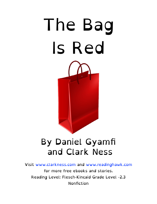

#### By Daniel Gyamfi and Clark Ness

Visit [www.clarkness.com](http://www.clarkness.com) and [www.readinghawk.com](http://www.readinghawk.com) for more free ebooks and stories. Reading Level: Flesch-Kincaid Grade Level -2.3 Nonfiction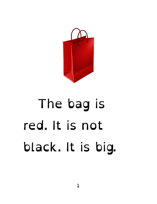

## The bag is red. It is not black. It is big.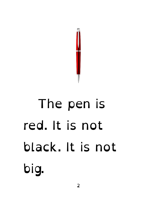

# The pen is red. It is not black. It is not big.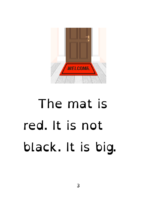

## The mat is red. It is not black. It is big.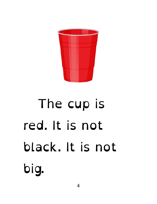

# The cup is red. It is not black. It is not big.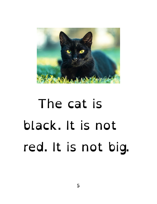

## The cat is black. It is not red. It is not big.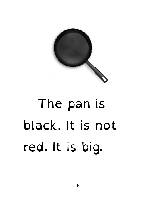

## The pan is black. It is not red. It is big.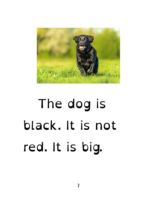

## The dog is black. It is not red. It is big.